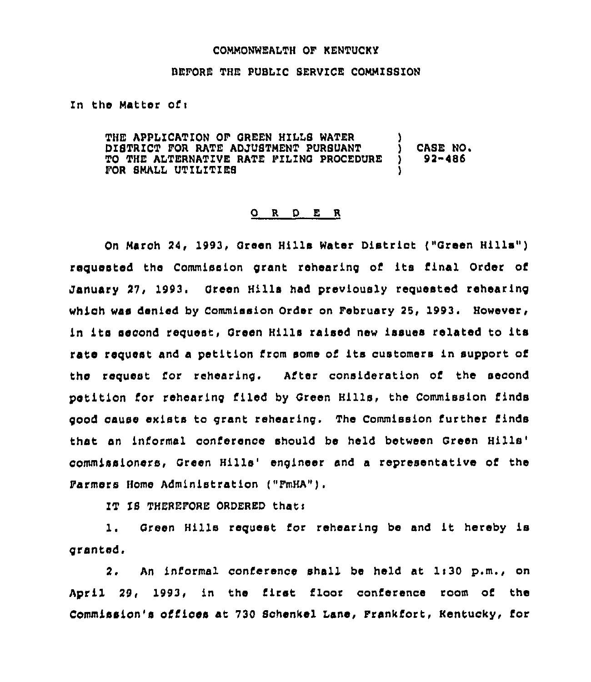## COMMONNEALTH OF KENTUCKY

## BEFORE THE PUBLIC SERVICE COMMISSION

In the Matter of <sup>i</sup>

THE APPL1CATION OF GREEN HILLS HATER DISTRICT FOR RATE ADJUSTMENT PURSUANT TO THE ALTERNATIVE RATE FILING PROCEDURE FOR SMALL UTILITIES ) CASE NO. ) 92-486 )

## 0 <sup>R</sup> <sup>D</sup> E <sup>R</sup>

On March 24, 1993, Green Hills Hater Distriot ("Green Hills" ) requested the Commission grant rehearing of its final Order of January 27, 1993. Green Hills had previously requested rehearing which was denied by Commission Order on February 25, 1993. However, in its second request, Green Hills raised new issues related to its rate request and a petition from some of its customers in support of the request for rehearing. After consideration of the second petition for rehearing filed by Green Bills, the Commission finds good cause ekists to grant rehearing. The commission further finds that an informal conference should be held between Green commissioners, Green Hills' engineer and a representative of the Farmers Homo Administration ("FmHA").

IT IS THEREFORE ORDERED that:

l. Green Hills request for rehearing be and it hereby is granted,

2. An informal conference shall be held at 1:30 p.m., on April 29, 1993, in the first floor conference room of the Commission's offices at 730 Schenkel Lane, Frankfort, Kentucky, for